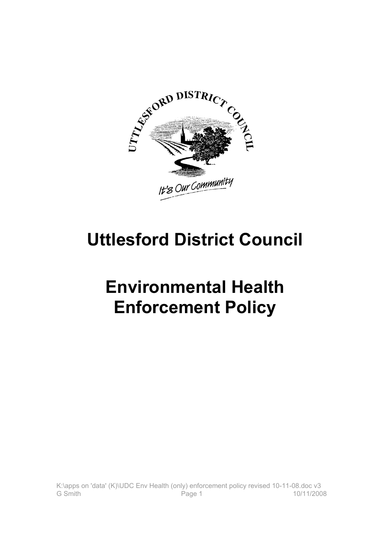

# **Uttlesford District Council**

# **Environmental Health Enforcement Policy**

K:\apps on 'data' (K)\UDC Env Health (only) enforcement policy revised 10-11-08.doc v3<br>10/11/200 Page 1 Page 1 10/11/2008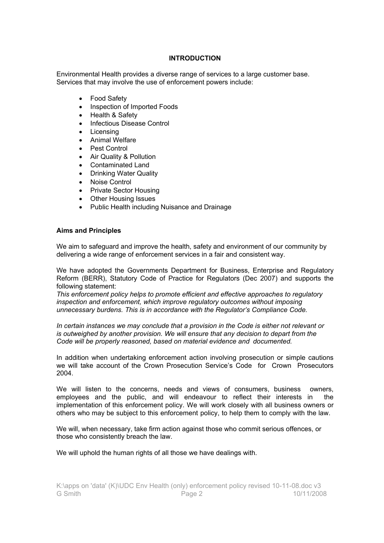## **INTRODUCTION**

Environmental Health provides a diverse range of services to a large customer base. Services that may involve the use of enforcement powers include:

- Food Safety
- Inspection of Imported Foods
- Health & Safety
- Infectious Disease Control
- Licensing
- **•** Animal Welfare
- Pest Control
- Air Quality & Pollution
- Contaminated Land
- Drinking Water Quality
- Noise Control
- Private Sector Housing
- Other Housing Issues
- Public Health including Nuisance and Drainage

## **Aims and Principles**

We aim to safeguard and improve the health, safety and environment of our community by delivering a wide range of enforcement services in a fair and consistent way.

We have adopted the Governments Department for Business, Enterprise and Regulatory Reform (BERR), Statutory Code of Practice for Regulators (Dec 2007) and supports the following statement:

*This enforcement policy helps to promote efficient and effective approaches to regulatory inspection and enforcement, which improve regulatory outcomes without imposing unnecessary burdens. This is in accordance with the Regulator's Compliance Code.*

*In certain instances we may conclude that a provision in the Code is either not relevant or is outweighed by another provision. We will ensure that any decision to depart from the Code will be properly reasoned, based on material evidence and documented.*

In addition when undertaking enforcement action involving prosecution or simple cautions we will take account of the Crown Prosecution Service's Code for Crown Prosecutors 2004.

We will listen to the concerns, needs and views of consumers, business owners, employees and the public, and will endeavour to reflect their interests in the implementation of this enforcement policy. We will work closely with all business owners or others who may be subject to this enforcement policy, to help them to comply with the law.

We will, when necessary, take firm action against those who commit serious offences, or those who consistently breach the law.

We will uphold the human rights of all those we have dealings with.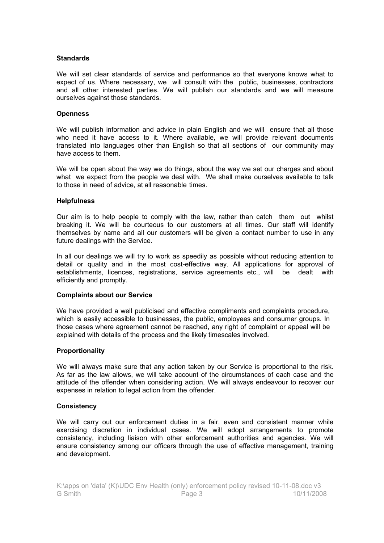### **Standards**

We will set clear standards of service and performance so that everyone knows what to expect of us. Where necessary, we will consult with the public, businesses, contractors and all other interested parties. We will publish our standards and we will measure ourselves against those standards.

#### **Openness**

We will publish information and advice in plain English and we will ensure that all those who need it have access to it. Where available, we will provide relevant documents translated into languages other than English so that all sections of our community may have access to them.

We will be open about the way we do things, about the way we set our charges and about what we expect from the people we deal with. We shall make ourselves available to talk to those in need of advice, at all reasonable times.

### **Helpfulness**

Our aim is to help people to comply with the law, rather than catch them out whilst breaking it. We will be courteous to our customers at all times. Our staff will identify themselves by name and all our customers will be given a contact number to use in any future dealings with the Service.

In all our dealings we will try to work as speedily as possible without reducing attention to detail or quality and in the most cost-effective way. All applications for approval of establishments, licences, registrations, service agreements etc., will be dealt with efficiently and promptly.

#### **Complaints about our Service**

We have provided a well publicised and effective compliments and complaints procedure, which is easily accessible to businesses, the public, employees and consumer groups. In those cases where agreement cannot be reached, any right of complaint or appeal will be explained with details of the process and the likely timescales involved.

## **Proportionality**

We will always make sure that any action taken by our Service is proportional to the risk. As far as the law allows, we will take account of the circumstances of each case and the attitude of the offender when considering action. We will always endeavour to recover our expenses in relation to legal action from the offender.

## **Consistency**

We will carry out our enforcement duties in a fair, even and consistent manner while exercising discretion in individual cases. We will adopt arrangements to promote consistency, including liaison with other enforcement authorities and agencies. We will ensure consistency among our officers through the use of effective management, training and development.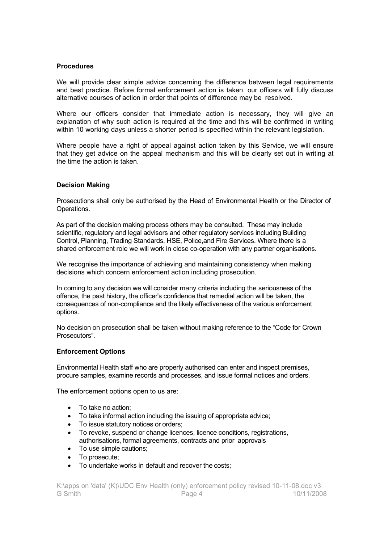## **Procedures**

We will provide clear simple advice concerning the difference between legal requirements and best practice. Before formal enforcement action is taken, our officers will fully discuss alternative courses of action in order that points of difference may be resolved.

Where our officers consider that immediate action is necessary, they will give an explanation of why such action is required at the time and this will be confirmed in writing within 10 working days unless a shorter period is specified within the relevant legislation.

Where people have a right of appeal against action taken by this Service, we will ensure that they get advice on the appeal mechanism and this will be clearly set out in writing at the time the action is taken.

# **Decision Making**

Prosecutions shall only be authorised by the Head of Environmental Health or the Director of Operations.

As part of the decision making process others may be consulted. These may include scientific, regulatory and legal advisors and other regulatory services including Building Control, Planning, Trading Standards, HSE, Police,and Fire Services. Where there is a shared enforcement role we will work in close co-operation with any partner organisations.

We recognise the importance of achieving and maintaining consistency when making decisions which concern enforcement action including prosecution.

In coming to any decision we will consider many criteria including the seriousness of the offence, the past history, the officer's confidence that remedial action will be taken, the consequences of non-compliance and the likely effectiveness of the various enforcement options.

No decision on prosecution shall be taken without making reference to the "Code for Crown Prosecutors".

## **Enforcement Options**

Environmental Health staff who are properly authorised can enter and inspect premises, procure samples, examine records and processes, and issue formal notices and orders.

The enforcement options open to us are:

- To take no action;
- To take informal action including the issuing of appropriate advice;
- To issue statutory notices or orders:
- To revoke, suspend or change licences, licence conditions, registrations, authorisations, formal agreements, contracts and prior approvals
- To use simple cautions;
- To prosecute:
- To undertake works in default and recover the costs;

K:\apps on 'data' (K)\UDC Env Health (only) enforcement policy revised 10-11-08.doc v3 G Smith **Page 4** 10/11/2008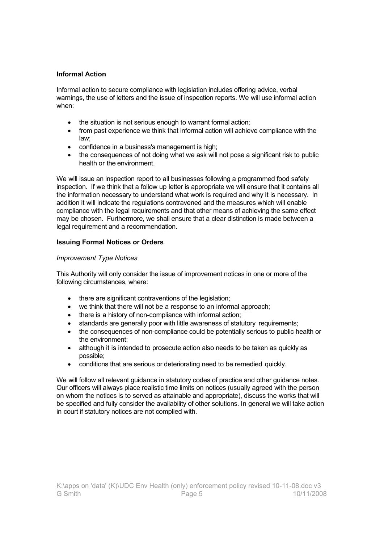# **Informal Action**

Informal action to secure compliance with legislation includes offering advice, verbal warnings, the use of letters and the issue of inspection reports. We will use informal action when:

- the situation is not serious enough to warrant formal action;
- from past experience we think that informal action will achieve compliance with the law;
- confidence in a business's management is high;
- the consequences of not doing what we ask will not pose a significant risk to public health or the environment.

We will issue an inspection report to all businesses following a programmed food safety inspection. If we think that a follow up letter is appropriate we will ensure that it contains all the information necessary to understand what work is required and why it is necessary. In addition it will indicate the regulations contravened and the measures which will enable compliance with the legal requirements and that other means of achieving the same effect may be chosen. Furthermore, we shall ensure that a clear distinction is made between a legal requirement and a recommendation.

# **Issuing Formal Notices or Orders**

# *Improvement Type Notices*

This Authority will only consider the issue of improvement notices in one or more of the following circumstances, where:

- there are significant contraventions of the legislation;
- we think that there will not be a response to an informal approach;
- there is a history of non-compliance with informal action;
- standards are generally poor with little awareness of statutory requirements;
- the consequences of non-compliance could be potentially serious to public health or the environment;
- although it is intended to prosecute action also needs to be taken as quickly as possible;
- conditions that are serious or deteriorating need to be remedied quickly.

We will follow all relevant guidance in statutory codes of practice and other guidance notes. Our officers will always place realistic time limits on notices (usually agreed with the person on whom the notices is to served as attainable and appropriate), discuss the works that will be specified and fully consider the availability of other solutions. In general we will take action in court if statutory notices are not complied with.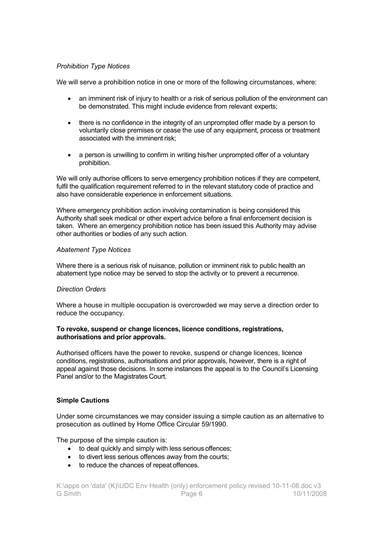# *Prohibition Type Notices*

We will serve a prohibition notice in one or more of the following circumstances, where:

- an imminent risk of injury to health or a risk of serious pollution of the environment can be demonstrated. This might include evidence from relevant experts;
- there is no confidence in the integrity of an unprompted offer made by a person to voluntarily close premises or cease the use of any equipment, process or treatment associated with the imminent risk;
- a person is unwilling to confirm in writing his/her unprompted offer of a voluntary prohibition.

We will only authorise officers to serve emergency prohibition notices if they are competent, fulfil the qualification requirement referred to in the relevant statutory code of practice and also have considerable experience in enforcement situations.

Where emergency prohibition action involving contamination is being considered this Authority shall seek medical or other expert advice before a final enforcement decision is taken. Where an emergency prohibition notice has been issued this Authority may advise other authorities or bodies of any such action.

## *Abatement Type Notices*

Where there is a serious risk of nuisance, pollution or imminent risk to public health an abatement type notice may be served to stop the activity or to prevent a recurrence.

## *Direction Orders*

Where a house in multiple occupation is overcrowded we may serve a direction order to reduce the occupancy.

## **To revoke, suspend or change licences, licence conditions, registrations, authorisations and prior approvals.**

Authorised officers have the power to revoke, suspend or change licences, licence conditions, registrations, authorisations and prior approvals, however, there is a right of appeal against those decisions. In some instances the appeal is to the Council's Licensing Panel and/or to the Magistrates Court.

# **Simple Cautions**

Under some circumstances we may consider issuing a simple caution as an alternative to prosecution as outlined by Home Office Circular 59/1990.

The purpose of the simple caution is:

- to deal quickly and simply with less serious offences:
- to divert less serious offences away from the courts;
- to reduce the chances of repeat offences.

K:\apps on 'data' (K)\UDC Env Health (only) enforcement policy revised 10-11-08.doc v3 G Smith **Page 6** 10/11/2008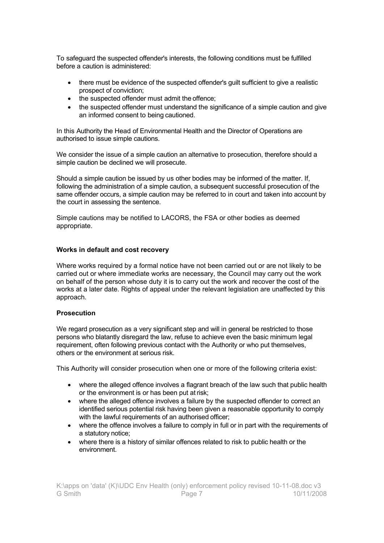To safeguard the suspected offender's interests, the following conditions must be fulfilled before a caution is administered:

- there must be evidence of the suspected offender's quilt sufficient to give a realistic prospect of conviction;
- the suspected offender must admit the offence;
- the suspected offender must understand the significance of a simple caution and give an informed consent to being cautioned.

In this Authority the Head of Environmental Health and the Director of Operations are authorised to issue simple cautions.

We consider the issue of a simple caution an alternative to prosecution, therefore should a simple caution be declined we will prosecute.

Should a simple caution be issued by us other bodies may be informed of the matter. If, following the administration of a simple caution, a subsequent successful prosecution of the same offender occurs, a simple caution may be referred to in court and taken into account by the court in assessing the sentence.

Simple cautions may be notified to LACORS, the FSA or other bodies as deemed appropriate.

# **Works in default and cost recovery**

Where works required by a formal notice have not been carried out or are not likely to be carried out or where immediate works are necessary, the Council may carry out the work on behalf of the person whose duty it is to carry out the work and recover the cost of the works at a later date. Rights of appeal under the relevant legislation are unaffected by this approach.

## **Prosecution**

We regard prosecution as a very significant step and will in general be restricted to those persons who blatantly disregard the law, refuse to achieve even the basic minimum legal requirement, often following previous contact with the Authority or who put themselves, others or the environment at serious risk.

This Authority will consider prosecution when one or more of the following criteria exist:

- where the alleged offence involves a flagrant breach of the law such that public health or the environment is or has been put atrisk;
- where the alleged offence involves a failure by the suspected offender to correct an identified serious potential risk having been given a reasonable opportunity to comply with the lawful requirements of an authorised officer;
- where the offence involves a failure to comply in full or in part with the requirements of a statutory notice;
- where there is a history of similar offences related to risk to public health or the environment.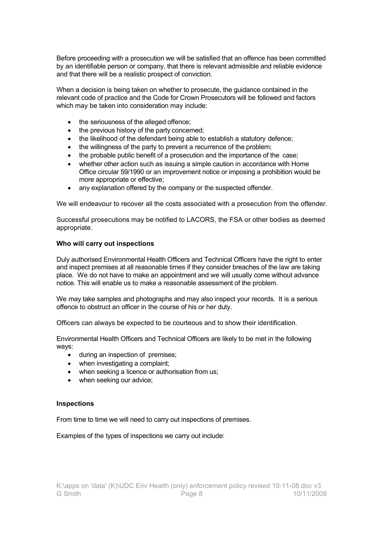Before proceeding with a prosecution we will be satisfied that an offence has been committed by an identifiable person or company, that there is relevant admissible and reliable evidence and that there will be a realistic prospect of conviction.

When a decision is being taken on whether to prosecute, the guidance contained in the relevant code of practice and the Code for Crown Prosecutors will be followed and factors which may be taken into consideration may include:

- the seriousness of the alleged offence;
- the previous history of the party concerned;
- the likelihood of the defendant being able to establish a statutory defence;
- the willingness of the party to prevent a recurrence of the problem;
- the probable public benefit of a prosecution and the importance of the case;
- whether other action such as issuing a simple caution in accordance with Home Office circular 59/1990 or an improvement notice or imposing a prohibition would be more appropriate or effective;
- any explanation offered by the company or the suspected offender.

We will endeavour to recover all the costs associated with a prosecution from the offender.

Successful prosecutions may be notified to LACORS, the FSA or other bodies as deemed appropriate.

## **Who will carry out inspections**

Duly authorised Environmental Health Officers and Technical Officers have the right to enter and inspect premises at all reasonable times if they consider breaches of the law are taking place. We do not have to make an appointment and we will usually come without advance notice. This will enable us to make a reasonable assessment of the problem.

We may take samples and photographs and may also inspect your records. It is a serious offence to obstruct an officer in the course of his or her duty.

Officers can always be expected to be courteous and to show their identification.

Environmental Health Officers and Technical Officers are likely to be met in the following ways:

- during an inspection of premises;
- when investigating a complaint;
- when seeking a licence or authorisation from us;
- when seeking our advice;

## **Inspections**

From time to time we will need to carry out inspections of premises.

Examples of the types of inspections we carry out include: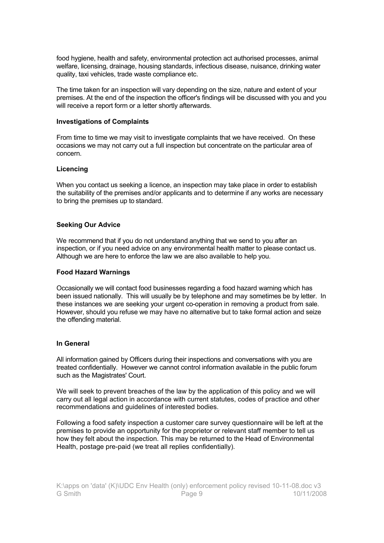food hygiene, health and safety, environmental protection act authorised processes, animal welfare, licensing, drainage, housing standards, infectious disease, nuisance, drinking water quality, taxi vehicles, trade waste compliance etc.

The time taken for an inspection will vary depending on the size, nature and extent of your premises. At the end of the inspection the officer's findings will be discussed with you and you will receive a report form or a letter shortly afterwards.

## **Investigations of Complaints**

From time to time we may visit to investigate complaints that we have received. On these occasions we may not carry out a full inspection but concentrate on the particular area of concern.

### **Licencing**

When you contact us seeking a licence, an inspection may take place in order to establish the suitability of the premises and/or applicants and to determine if any works are necessary to bring the premises up to standard.

### **Seeking Our Advice**

We recommend that if you do not understand anything that we send to you after an inspection, or if you need advice on any environmental health matter to please contact us. Although we are here to enforce the law we are also available to help you.

### **Food Hazard Warnings**

Occasionally we will contact food businesses regarding a food hazard warning which has been issued nationally. This will usually be by telephone and may sometimes be by letter. In these instances we are seeking your urgent co-operation in removing a product from sale. However, should you refuse we may have no alternative but to take formal action and seize the offending material.

#### **In General**

All information gained by Officers during their inspections and conversations with you are treated confidentially. However we cannot control information available in the public forum such as the Magistrates' Court.

We will seek to prevent breaches of the law by the application of this policy and we will carry out all legal action in accordance with current statutes, codes of practice and other recommendations and guidelines of interested bodies.

Following a food safety inspection a customer care survey questionnaire will be left at the premises to provide an opportunity for the proprietor or relevant staff member to tell us how they felt about the inspection. This may be returned to the Head of Environmental Health, postage pre-paid (we treat all replies confidentially).